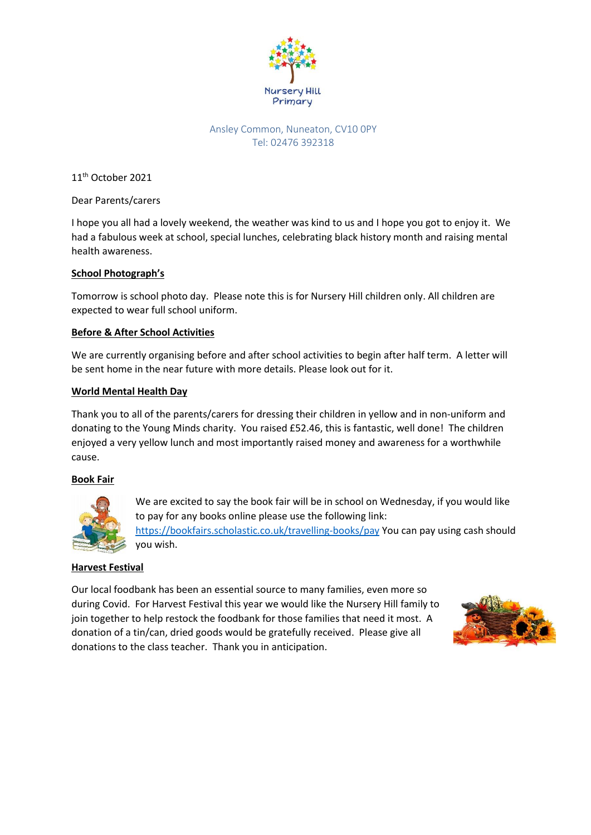

# Ansley Common, Nuneaton, CV10 0PY Tel: 02476 392318

11<sup>th</sup> October 2021

Dear Parents/carers

I hope you all had a lovely weekend, the weather was kind to us and I hope you got to enjoy it. We had a fabulous week at school, special lunches, celebrating black history month and raising mental health awareness.

### **School Photograph's**

Tomorrow is school photo day. Please note this is for Nursery Hill children only. All children are expected to wear full school uniform.

# **Before & After School Activities**

We are currently organising before and after school activities to begin after half term. A letter will be sent home in the near future with more details. Please look out for it.

### **World Mental Health Day**

Thank you to all of the parents/carers for dressing their children in yellow and in non-uniform and donating to the Young Minds charity. You raised £52.46, this is fantastic, well done! The children enjoyed a very yellow lunch and most importantly raised money and awareness for a worthwhile cause.

# **Book Fair**



We are excited to say the book fair will be in school on Wednesday, if you would like to pay for any books online please use the following link: <https://bookfairs.scholastic.co.uk/travelling-books/pay> You can pay using cash should you wish.

# **Harvest Festival**

Our local foodbank has been an essential source to many families, even more so during Covid. For Harvest Festival this year we would like the Nursery Hill family to join together to help restock the foodbank for those families that need it most. A donation of a tin/can, dried goods would be gratefully received. Please give all donations to the class teacher. Thank you in anticipation.